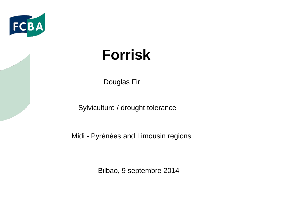

# **Forrisk**

Douglas Fir

Sylviculture / drought tolerance

Midi - Pyrénées and Limousin regions

Bilbao, 9 septembre 2014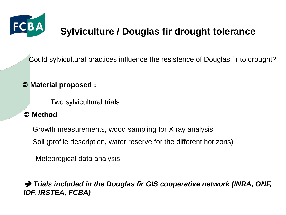

## **Sylviculture / Douglas fir drought tolerance**

Could sylvicultural practices influence the resistence of Douglas fir to drought?

#### **Material proposed :**

Two sylvicultural trials

#### **Method**

Growth measurements, wood sampling for X ray analysis

Soil (profile description, water reserve for the different horizons)

Meteorogical data analysis

 *Trials included in the Douglas fir GIS cooperative network (INRA, ONF, IDF, IRSTEA, FCBA)*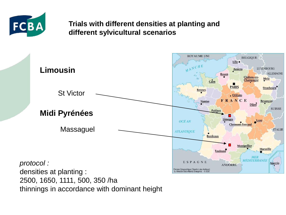

#### **Trials with different densities at planting and different sylvicultural scenarios**



thinnings in accordance with dominant height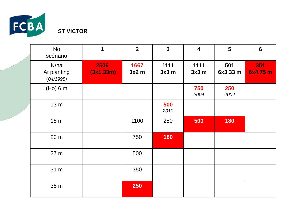

| <b>No</b><br>scénario            | $\mathbf 1$       | $\overline{2}$ | $\mathbf{3}$ | $\overline{\mathbf{4}}$ | 5               | $6\phantom{1}$  |
|----------------------------------|-------------------|----------------|--------------|-------------------------|-----------------|-----------------|
| N/ha<br>At planting<br>(04/1995) | 2506<br>(3x1.33m) | 1667<br>3x2m   | 1111<br>3x3m | 1111<br>3x3m            | 501<br>6x3.33 m | 351<br>6x4.75 m |
| (Ho) 6 m                         |                   |                |              | 750<br>2004             | 250<br>2004     |                 |
| 13 <sub>m</sub>                  |                   |                | 500<br>2010  |                         |                 |                 |
| 18 <sub>m</sub>                  |                   | 1100           | 250          | 500                     | 180             |                 |
| 23 <sub>m</sub>                  |                   | 750            | 180          |                         |                 |                 |
| 27 <sub>m</sub>                  |                   | 500            |              |                         |                 |                 |
| 31 m                             |                   | 350            |              |                         |                 |                 |
| 35 m                             |                   | 250            |              |                         |                 |                 |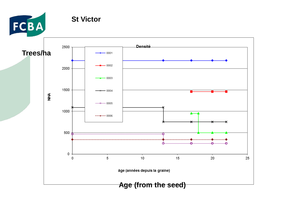

**St Victor** 

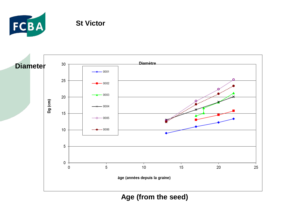

#### **St Victor**



**Age (from the seed)**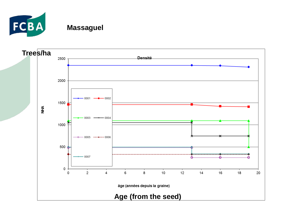

### **Massaguel**

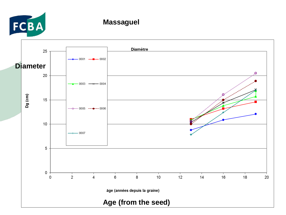

#### **Massaguel**

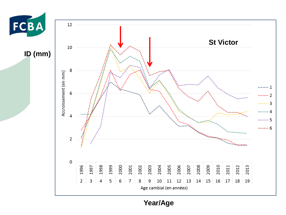

**ID (mm)**



**Year/Age**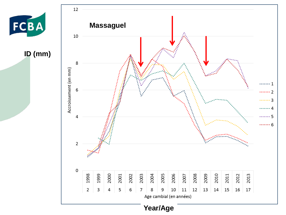

**ID (mm)**



**Year/Age**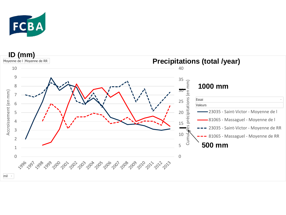